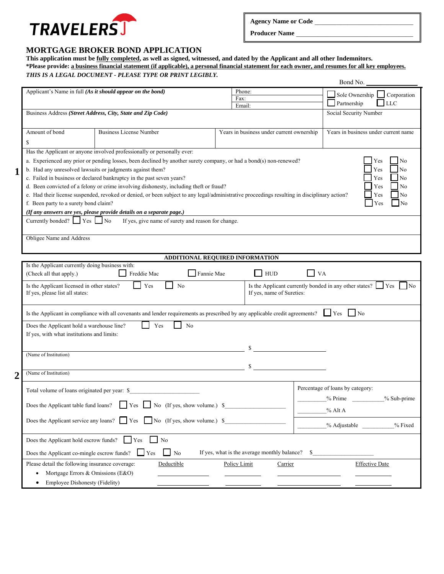

Producer Name

### **MORTGAGE BROKER BOND APPLICATION**

# **This application must be fully completed, as well as signed, witnessed, and dated by the Applicant and all other Indemnitors. \*Please provide: a business financial statement (if applicable), a personal financial statement for each owner, and resumes for all key employees.**

#### *THIS IS A LEGAL DOCUMENT - PLEASE TYPE OR PRINT LEGIBLY.*  Bond No. Applicant's Name in full *(As it should appear on the bond)*  Phone:  $\Box$  Sole Ownership  $\Box$  Corporation Partnership LLC Fax: Email: Business Address *(Street Address, City, State and Zip Code)*  Social Security Number Amount of bond \$ Business License Number Years in business under current ownership Years in business under current name Has the Applicant or anyone involved professionally or personally ever: a. Experienced any prior or pending losses, been declined by another surety company, or had a bond(s) non-renewed?  $\Box$  Yes  $\Box$  No b. Had any unresolved lawsuits or judgments against them? c. Failed in business or declared bankruptcy in the past seven years? No was not all the past seven years? d. Been convicted of a felony or crime involving dishonesty, including theft or fraud?  $\Box$  Yes  $\Box$  Yes  $\Box$  No e. Had their license suspended, revoked or denied, or been subject to any legal/administrative proceedings resulting in disciplinary action?  $\Box$  Yes  $\Box$  No f. Been party to a surety bond claim? *(If any answers are yes, please provide details on a separate page.)* Currently bonded?  $\Box$  Yes  $\Box$  No If yes, give name of surety and reason for change. Obligee Name and Address **ADDITIONAL REQUIRED INFORMATION**  Is the Applicant currently doing business with: (Check all that apply.)  $\Box$  Freddie Mac  $\Box$  Fannie Mae  $\Box$  HUD  $\Box$  VA Is the Applicant licensed in other states?  $\Box$  Yes  $\Box$  No Is the Applicant currently bonded in any other states?  $\Box$  Yes  $\Box$  No **1**

| If yes, please list all states:                                                                                                                                                        | If yes, name of Sureties:                                                                                                           |                                                                         |  |  |  |  |
|----------------------------------------------------------------------------------------------------------------------------------------------------------------------------------------|-------------------------------------------------------------------------------------------------------------------------------------|-------------------------------------------------------------------------|--|--|--|--|
|                                                                                                                                                                                        | Is the Applicant in compliance with all covenants and lender requirements as prescribed by any applicable credit agreements? See No |                                                                         |  |  |  |  |
| Yes<br>N <sub>o</sub><br>Does the Applicant hold a warehouse line?<br>If yes, with what institutions and limits:                                                                       |                                                                                                                                     |                                                                         |  |  |  |  |
| (Name of Institution)                                                                                                                                                                  | \$                                                                                                                                  |                                                                         |  |  |  |  |
| (Name of Institution)                                                                                                                                                                  | <sup>\$</sup>                                                                                                                       |                                                                         |  |  |  |  |
| Total volume of loans originated per year: \$<br>the control of the control of the control of<br>Does the Applicant table fund loans? $\Box$ Yes $\Box$ No (If yes, show volume.) \$   | $%$ Alt A                                                                                                                           | Percentage of loans by category:<br>$%$ Prime $\qquad$<br>$%$ Sub-prime |  |  |  |  |
| Does the Applicant service any loans? $\Box$ Yes $\Box$ No (If yes, show volume.) \$                                                                                                   |                                                                                                                                     | % Adjustable __________% Fixed                                          |  |  |  |  |
| Does the Applicant hold escrow funds? $\Box$ Yes<br>$\mathbf{N}$<br>If yes, what is the average monthly balance? \$<br>Does the Applicant co-mingle escrow funds? $\Box$ Yes $\Box$ No |                                                                                                                                     |                                                                         |  |  |  |  |
| Please detail the following insurance coverage:<br>Deductible<br>Policy Limit<br>Mortgage Errors & Omissions (E&O)<br>Employee Dishonesty (Fidelity)                                   | Carrier                                                                                                                             | <b>Effective Date</b>                                                   |  |  |  |  |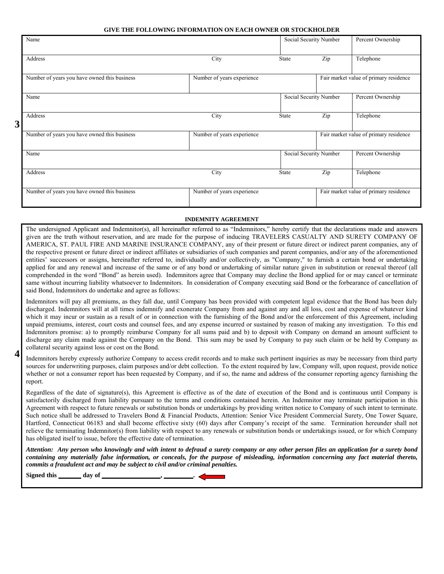#### **GIVE THE FOLLOWING INFORMATION ON EACH OWNER OR STOCKHOLDER**

|   | Name                                         |                            | Social Security Number |                                        | Percent Ownership                      |
|---|----------------------------------------------|----------------------------|------------------------|----------------------------------------|----------------------------------------|
|   | Address                                      | City                       | State                  | Zip                                    | Telephone                              |
|   | Number of years you have owned this business | Number of years experience |                        |                                        | Fair market value of primary residence |
|   | Name                                         |                            | Social Security Number |                                        | Percent Ownership                      |
| 3 | Address                                      | City                       | State                  | Zip                                    | Telephone                              |
|   | Number of years you have owned this business | Number of years experience |                        |                                        | Fair market value of primary residence |
|   | Name                                         |                            | Social Security Number |                                        | Percent Ownership                      |
|   | Address                                      | City                       | State                  | Zip                                    | Telephone                              |
|   | Number of years you have owned this business | Number of years experience |                        | Fair market value of primary residence |                                        |

#### **INDEMNITY AGREEMENT**

The undersigned Applicant and Indemnitor(s), all hereinafter referred to as "Indemnitors," hereby certify that the declarations made and answers given are the truth without reservation, and are made for the purpose of inducing TRAVELERS CASUALTY AND SURETY COMPANY OF AMERICA, ST. PAUL FIRE AND MARINE INSURANCE COMPANY, any of their present or future direct or indirect parent companies, any of the respective present or future direct or indirect affiliates or subsidiaries of such companies and parent companies, and/or any of the aforementioned entities' successors or assigns, hereinafter referred to, individually and/or collectively, as "Company," to furnish a certain bond or undertaking applied for and any renewal and increase of the same or of any bond or undertaking of similar nature given in substitution or renewal thereof (all comprehended in the word "Bond" as herein used). Indemnitors agree that Company may decline the Bond applied for or may cancel or terminate same without incurring liability whatsoever to Indemnitors. In consideration of Company executing said Bond or the forbearance of cancellation of said Bond, Indemnitors do undertake and agree as follows:

Indemnitors will pay all premiums, as they fall due, until Company has been provided with competent legal evidence that the Bond has been duly discharged. Indemnitors will at all times indemnify and exonerate Company from and against any and all loss, cost and expense of whatever kind which it may incur or sustain as a result of or in connection with the furnishing of the Bond and/or the enforcement of this Agreement, including unpaid premiums, interest, court costs and counsel fees, and any expense incurred or sustained by reason of making any investigation. To this end Indemnitors promise: a) to promptly reimburse Company for all sums paid and b) to deposit with Company on demand an amount sufficient to discharge any claim made against the Company on the Bond. This sum may be used by Company to pay such claim or be held by Company as collateral security against loss or cost on the Bond.

Indemnitors hereby expressly authorize Company to access credit records and to make such pertinent inquiries as may be necessary from third party sources for underwriting purposes, claim purposes and/or debt collection. To the extent required by law, Company will, upon request, provide notice whether or not a consumer report has been requested by Company, and if so, the name and address of the consumer reporting agency furnishing the report. **4** 

Regardless of the date of signature(s), this Agreement is effective as of the date of execution of the Bond and is continuous until Company is satisfactorily discharged from liability pursuant to the terms and conditions contained herein. An Indemnitor may terminate participation in this Agreement with respect to future renewals or substitution bonds or undertakings by providing written notice to Company of such intent to terminate. Such notice shall be addressed to Travelers Bond & Financial Products, Attention: Senior Vice President Commercial Surety, One Tower Square, Hartford, Connecticut 06183 and shall become effective sixty (60) days after Company's receipt of the same. Termination hereunder shall not relieve the terminating Indemnitor(s) from liability with respect to any renewals or substitution bonds or undertakings issued, or for which Company has obligated itself to issue, before the effective date of termination.

*Attention: Any person who knowingly and with intent to defraud a surety company or any other person files an application for a surety bond containing any materially false information, or conceals, for the purpose of misleading, information concerning any fact material thereto, commits a fraudulent act and may be subject to civil and/or criminal penalties.* 

**Signed this \_\_\_\_\_\_\_ day of \_\_\_\_\_\_\_\_\_\_\_\_\_\_\_\_\_\_, \_\_\_\_\_\_\_\_\_.**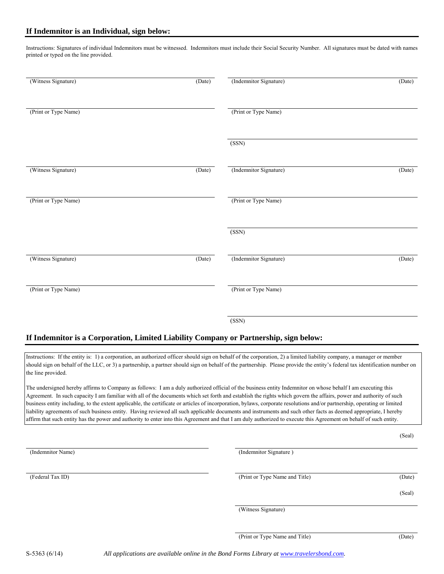Instructions: Signatures of individual Indemnitors must be witnessed. Indemnitors must include their Social Security Number. All signatures must be dated with names printed or typed on the line provided.

| (Witness Signature)  | (Date) | (Indemnitor Signature) | $\overline{(\text{Date})}$ |
|----------------------|--------|------------------------|----------------------------|
| (Print or Type Name) |        | (Print or Type Name)   |                            |
|                      |        | (SSN)                  |                            |
| (Witness Signature)  | (Date) | (Indemnitor Signature) | (Date)                     |
| (Print or Type Name) |        | (Print or Type Name)   |                            |
|                      |        | (SSN)                  |                            |
| (Witness Signature)  | (Date) | (Indemnitor Signature) | (Date)                     |
| (Print or Type Name) |        | (Print or Type Name)   |                            |
|                      |        | (SSN)                  |                            |

### **If Indemnitor is a Corporation, Limited Liability Company or Partnership, sign below:**

Instructions: If the entity is: 1) a corporation, an authorized officer should sign on behalf of the corporation, 2) a limited liability company, a manager or member should sign on behalf of the LLC, or 3) a partnership, a partner should sign on behalf of the partnership. Please provide the entity's federal tax identification number on the line provided.

The undersigned hereby affirms to Company as follows: I am a duly authorized official of the business entity Indemnitor on whose behalf I am executing this Agreement. In such capacity I am familiar with all of the documents which set forth and establish the rights which govern the affairs, power and authority of such business entity including, to the extent applicable, the certificate or articles of incorporation, bylaws, corporate resolutions and/or partnership, operating or limited liability agreements of such business entity. Having reviewed all such applicable documents and instruments and such other facts as deemed appropriate, I hereby affirm that such entity has the power and authority to enter into this Agreement and that I am duly authorized to execute this Agreement on behalf of such entity.

(Seal) (Indemnitor Name) (Indemnitor Signature ) (Federal Tax ID) (Date) (Date) (Date) (Date) (Date) (Seal) (Witness Signature) (Print or Type Name and Title) (Date)